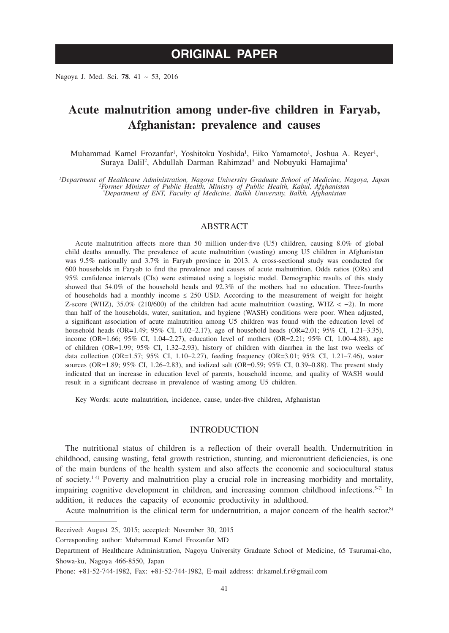Nagoya J. Med. Sci. **78**. 41 ~ 53, 2016

# **Acute malnutrition among under-five children in Faryab, Afghanistan: prevalence and causes**

Muhammad Kamel Frozanfar<sup>ı</sup>, Yoshitoku Yoshida<sup>1</sup>, Eiko Yamamoto<sup>1</sup>, Joshua A. Reyer<sup>1</sup>, Suraya Dalil<sup>2</sup>, Abdullah Darman Rahimzad<sup>3</sup> and Nobuyuki Hamajima<sup>1</sup>

*1 Department of Healthcare Administration, Nagoya University Graduate School of Medicine, Nagoya, Japan <sup>2</sup> Former Minister of Public Health, Ministry of Public Health, Kabul, Afghanistan 3 Department of ENT, Faculty of Medicine, Balkh University, Balkh, Afghanistan* 

## ABSTRACT

Acute malnutrition affects more than 50 million under-five (U5) children, causing 8.0% of global child deaths annually. The prevalence of acute malnutrition (wasting) among U5 children in Afghanistan was 9.5% nationally and 3.7% in Faryab province in 2013. A cross-sectional study was conducted for 600 households in Faryab to find the prevalence and causes of acute malnutrition. Odds ratios (ORs) and 95% confidence intervals (CIs) were estimated using a logistic model. Demographic results of this study showed that 54.0% of the household heads and 92.3% of the mothers had no education. Three-fourths of households had a monthly income  $\leq 250$  USD. According to the measurement of weight for height Z-score (WHZ), 35.0% (210/600) of the children had acute malnutrition (wasting, WHZ <  $-2$ ). In more than half of the households, water, sanitation, and hygiene (WASH) conditions were poor. When adjusted, a significant association of acute malnutrition among U5 children was found with the education level of household heads (OR=1.49; 95% CI, 1.02–2.17), age of household heads (OR=2.01; 95% CI, 1.21–3.35), income (OR=1.66; 95% CI, 1.04–2.27), education level of mothers (OR=2.21; 95% CI, 1.00–4.88), age of children (OR=1.99; 95% CI, 1.32–2.93), history of children with diarrhea in the last two weeks of data collection (OR=1.57; 95% CI, 1.10–2.27), feeding frequency (OR=3.01; 95% CI, 1.21–7.46), water sources (OR=1.89; 95% CI, 1.26–2.83), and iodized salt (OR=0.59; 95% CI, 0.39–0.88). The present study indicated that an increase in education level of parents, household income, and quality of WASH would result in a significant decrease in prevalence of wasting among U5 children.

Key Words: acute malnutrition, incidence, cause, under-five children, Afghanistan

#### INTRODUCTION

The nutritional status of children is a reflection of their overall health. Undernutrition in childhood, causing wasting, fetal growth restriction, stunting, and micronutrient deficiencies, is one of the main burdens of the health system and also affects the economic and sociocultural status of society.1-4) Poverty and malnutrition play a crucial role in increasing morbidity and mortality, impairing cognitive development in children, and increasing common childhood infections.<sup>5-7)</sup> In addition, it reduces the capacity of economic productivity in adulthood.

Acute malnutrition is the clinical term for undernutrition, a major concern of the health sector.<sup>8)</sup>

Received: August 25, 2015; accepted: November 30, 2015

Corresponding author: Muhammad Kamel Frozanfar MD

Department of Healthcare Administration, Nagoya University Graduate School of Medicine, 65 Tsurumai-cho, Showa-ku, Nagoya 466-8550, Japan

Phone: +81-52-744-1982, Fax: +81-52-744-1982, E-mail address: dr.kamel.f.r@gmail.com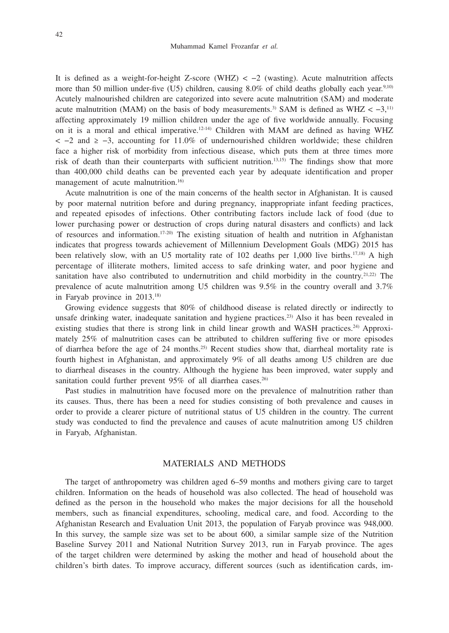It is defined as a weight-for-height Z-score (WHZ)  $\lt -2$  (wasting). Acute malnutrition affects more than 50 million under-five (U5) children, causing  $8.0\%$  of child deaths globally each year.<sup>9,10)</sup> Acutely malnourished children are categorized into severe acute malnutrition (SAM) and moderate acute malnutrition (MAM) on the basis of body measurements.<sup>3)</sup> SAM is defined as WHZ <  $-3$ ,<sup>11)</sup> affecting approximately 19 million children under the age of five worldwide annually. Focusing on it is a moral and ethical imperative.12-14) Children with MAM are defined as having WHZ < −2 and ≥ −3, accounting for 11.0% of undernourished children worldwide; these children face a higher risk of morbidity from infectious disease, which puts them at three times more risk of death than their counterparts with sufficient nutrition.13,15) The findings show that more than 400,000 child deaths can be prevented each year by adequate identification and proper management of acute malnutrition.<sup>16)</sup>

Acute malnutrition is one of the main concerns of the health sector in Afghanistan. It is caused by poor maternal nutrition before and during pregnancy, inappropriate infant feeding practices, and repeated episodes of infections. Other contributing factors include lack of food (due to lower purchasing power or destruction of crops during natural disasters and conflicts) and lack of resources and information.17-20) The existing situation of health and nutrition in Afghanistan indicates that progress towards achievement of Millennium Development Goals (MDG) 2015 has been relatively slow, with an U5 mortality rate of 102 deaths per 1,000 live births.17,18) A high percentage of illiterate mothers, limited access to safe drinking water, and poor hygiene and sanitation have also contributed to undernutrition and child morbidity in the country.<sup>21,22)</sup> The prevalence of acute malnutrition among U5 children was 9.5% in the country overall and 3.7% in Faryab province in 2013.18)

Growing evidence suggests that 80% of childhood disease is related directly or indirectly to unsafe drinking water, inadequate sanitation and hygiene practices.23) Also it has been revealed in existing studies that there is strong link in child linear growth and WASH practices.<sup>24)</sup> Approximately 25% of malnutrition cases can be attributed to children suffering five or more episodes of diarrhea before the age of 24 months.25) Recent studies show that, diarrheal mortality rate is fourth highest in Afghanistan, and approximately 9% of all deaths among U5 children are due to diarrheal diseases in the country. Although the hygiene has been improved, water supply and sanitation could further prevent  $95\%$  of all diarrhea cases.<sup>26)</sup>

Past studies in malnutrition have focused more on the prevalence of malnutrition rather than its causes. Thus, there has been a need for studies consisting of both prevalence and causes in order to provide a clearer picture of nutritional status of U5 children in the country. The current study was conducted to find the prevalence and causes of acute malnutrition among U5 children in Faryab, Afghanistan.

## MATERIALS AND METHODS

The target of anthropometry was children aged 6–59 months and mothers giving care to target children. Information on the heads of household was also collected. The head of household was defined as the person in the household who makes the major decisions for all the household members, such as financial expenditures, schooling, medical care, and food. According to the Afghanistan Research and Evaluation Unit 2013, the population of Faryab province was 948,000. In this survey, the sample size was set to be about 600, a similar sample size of the Nutrition Baseline Survey 2011 and National Nutrition Survey 2013, run in Faryab province. The ages of the target children were determined by asking the mother and head of household about the children's birth dates. To improve accuracy, different sources (such as identification cards, im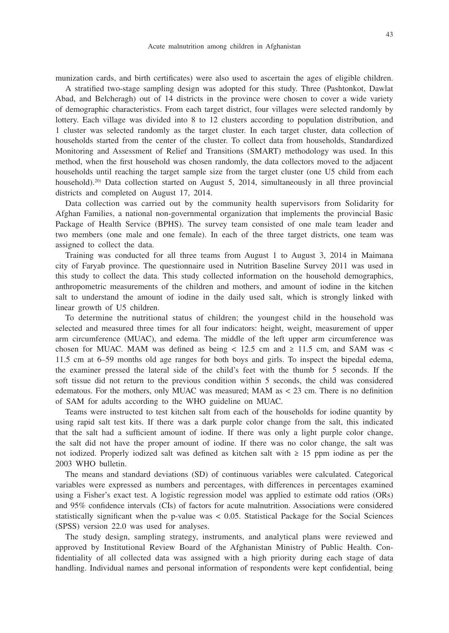munization cards, and birth certificates) were also used to ascertain the ages of eligible children.

A stratified two-stage sampling design was adopted for this study. Three (Pashtonkot, Dawlat Abad, and Belcheragh) out of 14 districts in the province were chosen to cover a wide variety of demographic characteristics. From each target district, four villages were selected randomly by lottery. Each village was divided into 8 to 12 clusters according to population distribution, and 1 cluster was selected randomly as the target cluster. In each target cluster, data collection of households started from the center of the cluster. To collect data from households, Standardized Monitoring and Assessment of Relief and Transitions (SMART) methodology was used. In this method, when the first household was chosen randomly, the data collectors moved to the adjacent households until reaching the target sample size from the target cluster (one U5 child from each household).<sup>20)</sup> Data collection started on August 5, 2014, simultaneously in all three provincial districts and completed on August 17, 2014.

Data collection was carried out by the community health supervisors from Solidarity for Afghan Families, a national non-governmental organization that implements the provincial Basic Package of Health Service (BPHS). The survey team consisted of one male team leader and two members (one male and one female). In each of the three target districts, one team was assigned to collect the data.

Training was conducted for all three teams from August 1 to August 3, 2014 in Maimana city of Faryab province. The questionnaire used in Nutrition Baseline Survey 2011 was used in this study to collect the data. This study collected information on the household demographics, anthropometric measurements of the children and mothers, and amount of iodine in the kitchen salt to understand the amount of iodine in the daily used salt, which is strongly linked with linear growth of U5 children.

To determine the nutritional status of children; the youngest child in the household was selected and measured three times for all four indicators: height, weight, measurement of upper arm circumference (MUAC), and edema. The middle of the left upper arm circumference was chosen for MUAC. MAM was defined as being  $< 12.5$  cm and  $\ge 11.5$  cm, and SAM was  $<$ 11.5 cm at 6–59 months old age ranges for both boys and girls. To inspect the bipedal edema, the examiner pressed the lateral side of the child's feet with the thumb for 5 seconds. If the soft tissue did not return to the previous condition within 5 seconds, the child was considered edematous. For the mothers, only MUAC was measured; MAM as < 23 cm. There is no definition of SAM for adults according to the WHO guideline on MUAC.

Teams were instructed to test kitchen salt from each of the households for iodine quantity by using rapid salt test kits. If there was a dark purple color change from the salt, this indicated that the salt had a sufficient amount of iodine. If there was only a light purple color change, the salt did not have the proper amount of iodine. If there was no color change, the salt was not iodized. Properly iodized salt was defined as kitchen salt with ≥ 15 ppm iodine as per the 2003 WHO bulletin.

The means and standard deviations (SD) of continuous variables were calculated. Categorical variables were expressed as numbers and percentages, with differences in percentages examined using a Fisher's exact test. A logistic regression model was applied to estimate odd ratios (ORs) and 95% confidence intervals (CIs) of factors for acute malnutrition. Associations were considered statistically significant when the p-value was < 0.05. Statistical Package for the Social Sciences (SPSS) version 22.0 was used for analyses.

The study design, sampling strategy, instruments, and analytical plans were reviewed and approved by Institutional Review Board of the Afghanistan Ministry of Public Health. Confidentiality of all collected data was assigned with a high priority during each stage of data handling. Individual names and personal information of respondents were kept confidential, being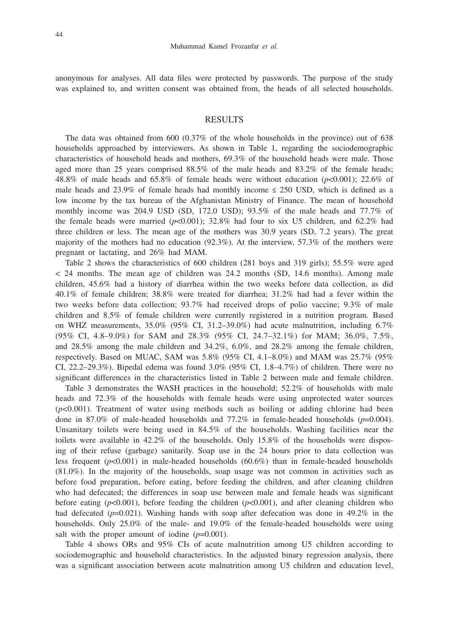anonymous for analyses. All data files were protected by passwords. The purpose of the study was explained to, and written consent was obtained from, the heads of all selected households.

#### RESULTS

The data was obtained from 600 (0.37% of the whole households in the province) out of 638 households approached by interviewers. As shown in Table 1, regarding the sociodemographic characteristics of household heads and mothers, 69.3% of the household heads were male. Those aged more than 25 years comprised 88.5% of the male heads and 83.2% of the female heads; 48.8% of male heads and 65.8% of female heads were without education (*p*<0.001); 22.6% of male heads and 23.9% of female heads had monthly income  $\leq$  250 USD, which is defined as a low income by the tax bureau of the Afghanistan Ministry of Finance. The mean of household monthly income was 204.9 USD (SD, 172.0 USD); 93.5% of the male heads and 77.7% of the female heads were married  $(p<0.001)$ ; 32.8% had four to six U5 children, and 62.2% had three children or less. The mean age of the mothers was 30.9 years (SD, 7.2 years). The great majority of the mothers had no education (92.3%). At the interview, 57.3% of the mothers were pregnant or lactating, and 26% had MAM.

Table 2 shows the characteristics of 600 children (281 boys and 319 girls); 55.5% were aged < 24 months. The mean age of children was 24.2 months (SD, 14.6 months). Among male children, 45.6% had a history of diarrhea within the two weeks before data collection, as did 40.1% of female children; 38.8% were treated for diarrhea; 31.2% had had a fever within the two weeks before data collection; 93.7% had received drops of polio vaccine; 9.3% of male children and 8.5% of female children were currently registered in a nutrition program. Based on WHZ measurements,  $35.0\%$  (95% CI,  $31.2-39.0\%$ ) had acute malnutrition, including 6.7% (95% CI, 4.8–9.0%) for SAM and 28.3% (95% CI, 24.7–32.1%) for MAM; 36.0%, 7.5%, and 28.5% among the male children and 34.2%, 6.0%, and 28.2% among the female children, respectively. Based on MUAC, SAM was 5.8% (95% CI, 4.1–8.0%) and MAM was 25.7% (95% CI, 22.2–29.3%). Bipedal edema was found  $3.0\%$  (95% CI, 1.8–4.7%) of children. There were no significant differences in the characteristics listed in Table 2 between male and female children.

Table 3 demonstrates the WASH practices in the household; 52.2% of households with male heads and 72.3% of the households with female heads were using unprotected water sources  $(p<0.001)$ . Treatment of water using methods such as boiling or adding chlorine had been done in 87.0% of male-headed households and 77.2% in female-headed households (*p*=0.004). Unsanitary toilets were being used in 84.5% of the households. Washing facilities near the toilets were available in 42.2% of the households. Only 15.8% of the households were disposing of their refuse (garbage) sanitarily. Soap use in the 24 hours prior to data collection was less frequent (*p*<0.001) in male-headed households (60.6%) than in female-headed households (81.0%). In the majority of the households, soap usage was not common in activities such as before food preparation, before eating, before feeding the children, and after cleaning children who had defecated; the differences in soap use between male and female heads was significant before eating  $(p<0.001)$ , before feeding the children  $(p<0.001)$ , and after cleaning children who had defecated  $(p=0.021)$ . Washing hands with soap after defecation was done in 49.2% in the households. Only 25.0% of the male- and 19.0% of the female-headed households were using salt with the proper amount of iodine  $(p=0.001)$ .

Table 4 shows ORs and 95% CIs of acute malnutrition among U5 children according to sociodemographic and household characteristics. In the adjusted binary regression analysis, there was a significant association between acute malnutrition among U5 children and education level,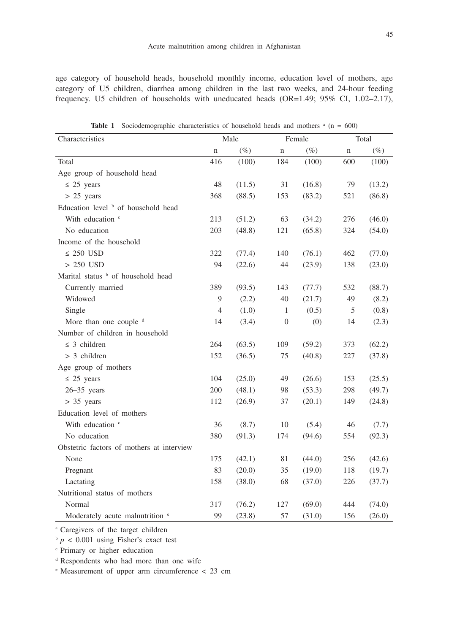age category of household heads, household monthly income, education level of mothers, age category of U5 children, diarrhea among children in the last two weeks, and 24-hour feeding frequency. U5 children of households with uneducated heads (OR=1.49; 95% CI, 1.02–2.17),

| Characteristics                            | Male           |        |                  | Female | Total       |        |
|--------------------------------------------|----------------|--------|------------------|--------|-------------|--------|
|                                            | $\mathbf n$    | $(\%)$ | n                | $(\%)$ | $\mathbf n$ | $(\%)$ |
| Total                                      | 416            | (100)  | 184              | (100)  | 600         | (100)  |
| Age group of household head                |                |        |                  |        |             |        |
| $\leq$ 25 years                            | 48             | (11.5) | 31               | (16.8) | 79          | (13.2) |
| $> 25$ years                               | 368            | (88.5) | 153              | (83.2) | 521         | (86.8) |
| Education level b of household head        |                |        |                  |        |             |        |
| With education <sup>c</sup>                | 213            | (51.2) | 63               | (34.2) | 276         | (46.0) |
| No education                               | 203            | (48.8) | 121              | (65.8) | 324         | (54.0) |
| Income of the household                    |                |        |                  |        |             |        |
| $\leq$ 250 USD                             | 322            | (77.4) | 140              | (76.1) | 462         | (77.0) |
| $> 250$ USD                                | 94             | (22.6) | 44               | (23.9) | 138         | (23.0) |
| Marital status b of household head         |                |        |                  |        |             |        |
| Currently married                          | 389            | (93.5) | 143              | (77.7) | 532         | (88.7) |
| Widowed                                    | 9              | (2.2)  | 40               | (21.7) | 49          | (8.2)  |
| Single                                     | $\overline{4}$ | (1.0)  | 1                | (0.5)  | 5           | (0.8)  |
| More than one couple d                     | 14             | (3.4)  | $\boldsymbol{0}$ | (0)    | 14          | (2.3)  |
| Number of children in household            |                |        |                  |        |             |        |
| $\leq$ 3 children                          | 264            | (63.5) | 109              | (59.2) | 373         | (62.2) |
| $> 3$ children                             | 152            | (36.5) | 75               | (40.8) | 227         | (37.8) |
| Age group of mothers                       |                |        |                  |        |             |        |
| $\leq$ 25 years                            | 104            | (25.0) | 49               | (26.6) | 153         | (25.5) |
| $26 - 35$ years                            | 200            | (48.1) | 98               | (53.3) | 298         | (49.7) |
| $> 35$ years                               | 112            | (26.9) | 37               | (20.1) | 149         | (24.8) |
| Education level of mothers                 |                |        |                  |        |             |        |
| With education <sup>c</sup>                | 36             | (8.7)  | 10               | (5.4)  | 46          | (7.7)  |
| No education                               | 380            | (91.3) | 174              | (94.6) | 554         | (92.3) |
| Obstetric factors of mothers at interview  |                |        |                  |        |             |        |
| None                                       | 175            | (42.1) | 81               | (44.0) | 256         | (42.6) |
| Pregnant                                   | 83             | (20.0) | 35               | (19.0) | 118         | (19.7) |
| Lactating                                  | 158            | (38.0) | 68               | (37.0) | 226         | (37.7) |
| Nutritional status of mothers              |                |        |                  |        |             |        |
| Normal                                     | 317            | (76.2) | 127              | (69.0) | 444         | (74.0) |
| Moderately acute malnutrition <sup>e</sup> | 99             | (23.8) | 57               | (31.0) | 156         | (26.0) |

**Table 1** Sociodemographic characteristics of household heads and mothers  $\alpha$  (n = 600)

<sup>a</sup> Caregivers of the target children

 $\frac{b}{p}$  < 0.001 using Fisher's exact test

<sup>c</sup> Primary or higher education

<sup>d</sup> Respondents who had more than one wife

<sup>e</sup> Measurement of upper arm circumference < 23 cm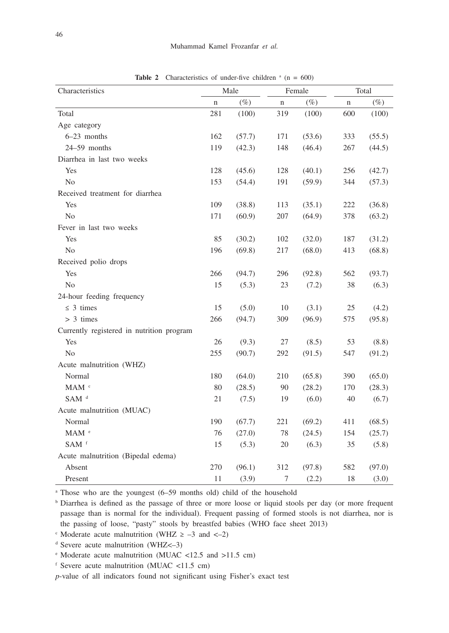| Characteristics                           | Male |        |     | Female | Total |        |
|-------------------------------------------|------|--------|-----|--------|-------|--------|
|                                           | n    | $(\%)$ | n   | $(\%)$ | n     | $(\%)$ |
| Total                                     | 281  | (100)  | 319 | (100)  | 600   | (100)  |
| Age category                              |      |        |     |        |       |        |
| $6-23$ months                             | 162  | (57.7) | 171 | (53.6) | 333   | (55.5) |
| 24-59 months                              | 119  | (42.3) | 148 | (46.4) | 267   | (44.5) |
| Diarrhea in last two weeks                |      |        |     |        |       |        |
| Yes                                       | 128  | (45.6) | 128 | (40.1) | 256   | (42.7) |
| N <sub>o</sub>                            | 153  | (54.4) | 191 | (59.9) | 344   | (57.3) |
| Received treatment for diarrhea           |      |        |     |        |       |        |
| Yes                                       | 109  | (38.8) | 113 | (35.1) | 222   | (36.8) |
| N <sub>o</sub>                            | 171  | (60.9) | 207 | (64.9) | 378   | (63.2) |
| Fever in last two weeks                   |      |        |     |        |       |        |
| Yes                                       | 85   | (30.2) | 102 | (32.0) | 187   | (31.2) |
| No                                        | 196  | (69.8) | 217 | (68.0) | 413   | (68.8) |
| Received polio drops                      |      |        |     |        |       |        |
| Yes                                       | 266  | (94.7) | 296 | (92.8) | 562   | (93.7) |
| N <sub>o</sub>                            | 15   | (5.3)  | 23  | (7.2)  | 38    | (6.3)  |
| 24-hour feeding frequency                 |      |        |     |        |       |        |
| $\leq$ 3 times                            | 15   | (5.0)  | 10  | (3.1)  | 25    | (4.2)  |
| $> 3$ times                               | 266  | (94.7) | 309 | (96.9) | 575   | (95.8) |
| Currently registered in nutrition program |      |        |     |        |       |        |
| Yes                                       | 26   | (9.3)  | 27  | (8.5)  | 53    | (8.8)  |
| N <sub>o</sub>                            | 255  | (90.7) | 292 | (91.5) | 547   | (91.2) |
| Acute malnutrition (WHZ)                  |      |        |     |        |       |        |
| Normal                                    | 180  | (64.0) | 210 | (65.8) | 390   | (65.0) |
| $\text{MAM} \ ^{\text{c}}$                | 80   | (28.5) | 90  | (28.2) | 170   | (28.3) |
| SAM <sup>d</sup>                          | 21   | (7.5)  | 19  | (6.0)  | 40    | (6.7)  |
| Acute malnutrition (MUAC)                 |      |        |     |        |       |        |
| Normal                                    | 190  | (67.7) | 221 | (69.2) | 411   | (68.5) |
| $\text{MAM}$ $^{\circ}$                   | 76   | (27.0) | 78  | (24.5) | 154   | (25.7) |
| $SAM$ <sup>f</sup>                        | 15   | (5.3)  | 20  | (6.3)  | 35    | (5.8)  |
| Acute malnutrition (Bipedal edema)        |      |        |     |        |       |        |
| Absent                                    | 270  | (96.1) | 312 | (97.8) | 582   | (97.0) |
| Present                                   | 11   | (3.9)  | 7   | (2.2)  | 18    | (3.0)  |

**Table 2** Characteristics of under-five children  $(a = 600)$ 

<sup>a</sup> Those who are the youngest (6–59 months old) child of the household

b Diarrhea is defined as the passage of three or more loose or liquid stools per day (or more frequent passage than is normal for the individual). Frequent passing of formed stools is not diarrhea, nor is the passing of loose, "pasty" stools by breastfed babies (WHO face sheet 2013)

 $\cdot$  Moderate acute malnutrition (WHZ  $\ge -3$  and  $\lt -2$ )

<sup>d</sup> Severe acute malnutrition (WHZ<–3)

<sup>e</sup> Moderate acute malnutrition (MUAC <12.5 and >11.5 cm)

<sup>f</sup> Severe acute malnutrition (MUAC <11.5 cm)

*p*-value of all indicators found not significant using Fisher's exact test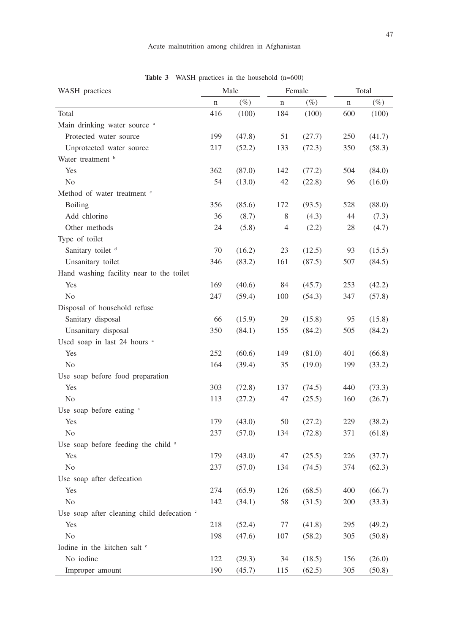| WASH practices                             | Male        |        |                | Female | Total |        |
|--------------------------------------------|-------------|--------|----------------|--------|-------|--------|
|                                            | $\mathbf n$ | $(\%)$ | $\mathbf n$    | $(\%)$ | n     | $(\%)$ |
| Total                                      | 416         | (100)  | 184            | (100)  | 600   | (100)  |
| Main drinking water source <sup>a</sup>    |             |        |                |        |       |        |
| Protected water source                     | 199         | (47.8) | 51             | (27.7) | 250   | (41.7) |
| Unprotected water source                   | 217         | (52.2) | 133            | (72.3) | 350   | (58.3) |
| Water treatment b                          |             |        |                |        |       |        |
| Yes                                        | 362         | (87.0) | 142            | (77.2) | 504   | (84.0) |
| N <sub>0</sub>                             | 54          | (13.0) | 42             | (22.8) | 96    | (16.0) |
| Method of water treatment c                |             |        |                |        |       |        |
| <b>Boiling</b>                             | 356         | (85.6) | 172            | (93.5) | 528   | (88.0) |
| Add chlorine                               | 36          | (8.7)  | 8              | (4.3)  | 44    | (7.3)  |
| Other methods                              | 24          | (5.8)  | $\overline{4}$ | (2.2)  | 28    | (4.7)  |
| Type of toilet                             |             |        |                |        |       |        |
| Sanitary toilet d                          | 70          | (16.2) | 23             | (12.5) | 93    | (15.5) |
| Unsanitary toilet                          | 346         | (83.2) | 161            | (87.5) | 507   | (84.5) |
| Hand washing facility near to the toilet   |             |        |                |        |       |        |
| Yes                                        | 169         | (40.6) | 84             | (45.7) | 253   | (42.2) |
| N <sub>o</sub>                             | 247         | (59.4) | 100            | (54.3) | 347   | (57.8) |
| Disposal of household refuse               |             |        |                |        |       |        |
| Sanitary disposal                          | 66          | (15.9) | 29             | (15.8) | 95    | (15.8) |
| Unsanitary disposal                        | 350         | (84.1) | 155            | (84.2) | 505   | (84.2) |
| Used soap in last 24 hours <sup>a</sup>    |             |        |                |        |       |        |
| Yes                                        | 252         | (60.6) | 149            | (81.0) | 401   | (66.8) |
| N <sub>o</sub>                             | 164         | (39.4) | 35             | (19.0) | 199   | (33.2) |
| Use soap before food preparation           |             |        |                |        |       |        |
| Yes                                        | 303         | (72.8) | 137            | (74.5) | 440   | (73.3) |
| No                                         | 113         | (27.2) | 47             | (25.5) | 160   | (26.7) |
| Use soap before eating <sup>a</sup>        |             |        |                |        |       |        |
| Yes                                        | 179         | (43.0) | 50             | (27.2) | 229   | (38.2) |
| N <sub>o</sub>                             | 237         | (57.0) | 134            | (72.8) | 371   | (61.8) |
| Use soap before feeding the child a        |             |        |                |        |       |        |
| Yes                                        | 179         | (43.0) | 47             | (25.5) | 226   | (37.7) |
| N <sub>o</sub>                             | 237         | (57.0) | 134            | (74.5) | 374   | (62.3) |
| Use soap after defecation                  |             |        |                |        |       |        |
| Yes                                        | 274         | (65.9) | 126            | (68.5) | 400   | (66.7) |
| $\rm No$                                   | 142         | (34.1) | 58             | (31.5) | 200   | (33.3) |
| Use soap after cleaning child defecation c |             |        |                |        |       |        |
| Yes                                        | 218         | (52.4) | 77             | (41.8) | 295   | (49.2) |
| No                                         | 198         | (47.6) | 107            | (58.2) | 305   | (50.8) |
| Iodine in the kitchen salt <sup>e</sup>    |             |        |                |        |       |        |
| No iodine                                  | 122         | (29.3) | 34             | (18.5) | 156   | (26.0) |
| Improper amount                            | 190         | (45.7) | 115            | (62.5) | 305   | (50.8) |

Table 3 WASH practices in the household  $(n=600)$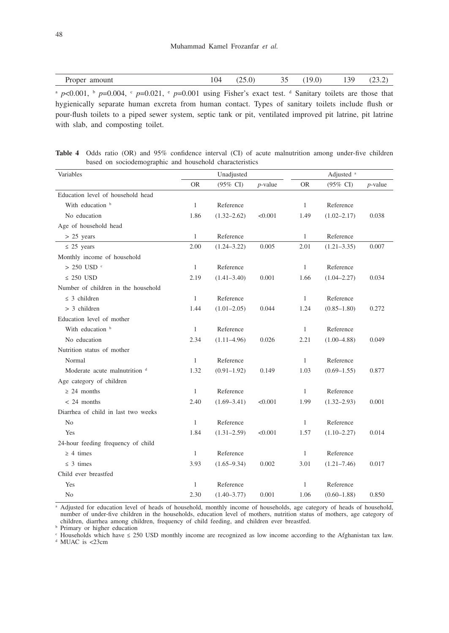| amount<br>$P^{\text{per}}$<br>Proper | 04 | $\sim$<br>$\cdot$ | ◡ | $\Omega$ | $\Omega$<br>1 J J | <u>_</u><br>$-$ |
|--------------------------------------|----|-------------------|---|----------|-------------------|-----------------|
|--------------------------------------|----|-------------------|---|----------|-------------------|-----------------|

 $\alpha$  *p*<0.001,  $\beta$  *p*=0.004,  $\gamma$  *p*=0.021,  $\gamma$  *p*=0.001 using Fisher's exact test. d Sanitary toilets are those that hygienically separate human excreta from human contact. Types of sanitary toilets include flush or pour-flush toilets to a piped sewer system, septic tank or pit, ventilated improved pit latrine, pit latrine with slab, and composting toilet.

**Table 4** Odds ratio (OR) and 95% confidence interval (CI) of acute malnutrition among under-five children based on sociodemographic and household characteristics

| Variables                           | Unadjusted   |                     |            | Adjusted <sup>a</sup> |                 |            |
|-------------------------------------|--------------|---------------------|------------|-----------------------|-----------------|------------|
|                                     | <b>OR</b>    | $(95\% \text{ CI})$ | $p$ -value | <b>OR</b>             | (95% CI)        | $p$ -value |
| Education level of household head   |              |                     |            |                       |                 |            |
| With education b                    | 1            | Reference           |            | 1                     | Reference       |            |
| No education                        | 1.86         | $(1.32 - 2.62)$     | < 0.001    | 1.49                  | $(1.02 - 2.17)$ | 0.038      |
| Age of household head               |              |                     |            |                       |                 |            |
| $> 25$ years                        | 1            | Reference           |            | 1                     | Reference       |            |
| $\leq$ 25 years                     | 2.00         | $(1.24 - 3.22)$     | 0.005      | 2.01                  | $(1.21 - 3.35)$ | 0.007      |
| Monthly income of household         |              |                     |            |                       |                 |            |
| $> 250$ USD <sup>c</sup>            | $\mathbf{1}$ | Reference           |            | $\mathbf{1}$          | Reference       |            |
| $\leq$ 250 USD                      | 2.19         | $(1.41 - 3.40)$     | 0.001      | 1.66                  | $(1.04 - 2.27)$ | 0.034      |
| Number of children in the household |              |                     |            |                       |                 |            |
| $\leq$ 3 children                   | 1            | Reference           |            | 1                     | Reference       |            |
| $> 3$ children                      | 1.44         | $(1.01 - 2.05)$     | 0.044      | 1.24                  | $(0.85 - 1.80)$ | 0.272      |
| Education level of mother           |              |                     |            |                       |                 |            |
| With education b                    | 1            | Reference           |            | 1                     | Reference       |            |
| No education                        | 2.34         | $(1.11-4.96)$       | 0.026      | 2.21                  | $(1.00 - 4.88)$ | 0.049      |
| Nutrition status of mother          |              |                     |            |                       |                 |            |
| Normal                              | 1            | Reference           |            | 1                     | Reference       |            |
| Moderate acute malnutrition d       | 1.32         | $(0.91 - 1.92)$     | 0.149      | 1.03                  | $(0.69 - 1.55)$ | 0.877      |
| Age category of children            |              |                     |            |                       |                 |            |
| $\geq$ 24 months                    | 1            | Reference           |            | 1                     | Reference       |            |
| $< 24$ months                       | 2.40         | $(1.69 - 3.41)$     | < 0.001    | 1.99                  | $(1.32 - 2.93)$ | 0.001      |
| Diarrhea of child in last two weeks |              |                     |            |                       |                 |            |
| No                                  | 1            | Reference           |            | 1                     | Reference       |            |
| Yes                                 | 1.84         | $(1.31 - 2.59)$     | < 0.001    | 1.57                  | $(1.10 - 2.27)$ | 0.014      |
| 24-hour feeding frequency of child  |              |                     |            |                       |                 |            |
| $\geq 4$ times                      | 1            | Reference           |            | $\mathbf{1}$          | Reference       |            |
| $\leq$ 3 times                      | 3.93         | $(1.65 - 9.34)$     | 0.002      | 3.01                  | $(1.21 - 7.46)$ | 0.017      |
| Child ever breastfed                |              |                     |            |                       |                 |            |
| Yes                                 | 1            | Reference           |            | 1                     | Reference       |            |
| N <sub>o</sub>                      | 2.30         | $(1.40 - 3.77)$     | 0.001      | 1.06                  | $(0.60 - 1.88)$ | 0.850      |

a Adjusted for education level of heads of household, monthly income of households, age category of heads of household, number of under-five children in the households, education level of mothers, nutrition status of mothers, age category of children, diarrhea among children, frequency of child feeding, and children ever breastfed.

**b** Primary or higher education

 Households which have ≤ 250 USD monthly income are recognized as low income according to the Afghanistan tax law. <sup>d</sup> MUAC is <23cm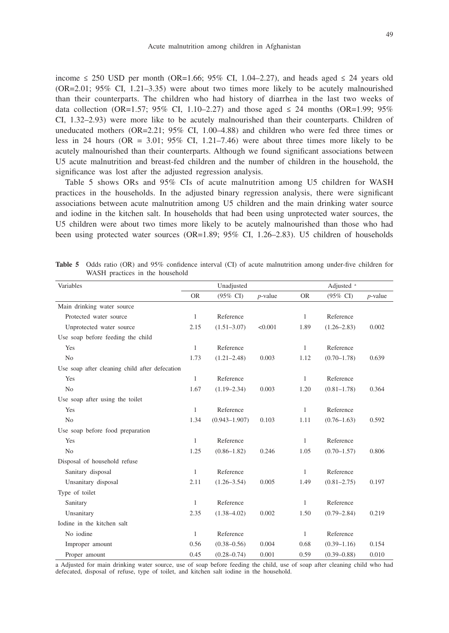income  $\leq$  250 USD per month (OR=1.66; 95% CI, 1.04–2.27), and heads aged  $\leq$  24 years old (OR=2.01; 95% CI, 1.21–3.35) were about two times more likely to be acutely malnourished than their counterparts. The children who had history of diarrhea in the last two weeks of data collection (OR=1.57; 95% CI, 1.10–2.27) and those aged  $\leq$  24 months (OR=1.99; 95% CI, 1.32–2.93) were more like to be acutely malnourished than their counterparts. Children of uneducated mothers  $(OR=2.21; 95\% \text{ CI}, 1.00-4.88)$  and children who were fed three times or less in 24 hours (OR =  $3.01$ ; 95% CI, 1.21–7.46) were about three times more likely to be acutely malnourished than their counterparts. Although we found significant associations between U5 acute malnutrition and breast-fed children and the number of children in the household, the significance was lost after the adjusted regression analysis.

Table 5 shows ORs and 95% CIs of acute malnutrition among U5 children for WASH practices in the households. In the adjusted binary regression analysis, there were significant associations between acute malnutrition among U5 children and the main drinking water source and iodine in the kitchen salt. In households that had been using unprotected water sources, the U5 children were about two times more likely to be acutely malnourished than those who had been using protected water sources (OR=1.89; 95% CI, 1.26–2.83). U5 children of households

| Variables                                      | Unadjusted   |                     |            |              | Adjusted <sup>a</sup> |            |  |
|------------------------------------------------|--------------|---------------------|------------|--------------|-----------------------|------------|--|
|                                                | <b>OR</b>    | $(95\% \text{ CI})$ | $p$ -value | <b>OR</b>    | $(95\% \text{ CI})$   | $p$ -value |  |
| Main drinking water source                     |              |                     |            |              |                       |            |  |
| Protected water source                         | 1            | Reference           |            | 1            | Reference             |            |  |
| Unprotected water source                       | 2.15         | $(1.51 - 3.07)$     | < 0.001    | 1.89         | $(1.26 - 2.83)$       | 0.002      |  |
| Use soap before feeding the child              |              |                     |            |              |                       |            |  |
| Yes                                            | 1            | Reference           |            | $\mathbf{1}$ | Reference             |            |  |
| N <sub>0</sub>                                 | 1.73         | $(1.21 - 2.48)$     | 0.003      | 1.12         | $(0.70 - 1.78)$       | 0.639      |  |
| Use soap after cleaning child after defecation |              |                     |            |              |                       |            |  |
| Yes                                            | $\mathbf{1}$ | Reference           |            | $\mathbf{1}$ | Reference             |            |  |
| No                                             | 1.67         | $(1.19 - 2.34)$     | 0.003      | 1.20         | $(0.81 - 1.78)$       | 0.364      |  |
| Use soap after using the toilet                |              |                     |            |              |                       |            |  |
| Yes                                            | 1            | Reference           |            | $\mathbf{1}$ | Reference             |            |  |
| No                                             | 1.34         | $(0.943 - 1.907)$   | 0.103      | 1.11         | $(0.76 - 1.63)$       | 0.592      |  |
| Use soap before food preparation               |              |                     |            |              |                       |            |  |
| Yes                                            | 1            | Reference           |            | 1            | Reference             |            |  |
| No                                             | 1.25         | $(0.86 - 1.82)$     | 0.246      | 1.05         | $(0.70 - 1.57)$       | 0.806      |  |
| Disposal of household refuse                   |              |                     |            |              |                       |            |  |
| Sanitary disposal                              | 1            | Reference           |            | 1            | Reference             |            |  |
| Unsanitary disposal                            | 2.11         | $(1.26 - 3.54)$     | 0.005      | 1.49         | $(0.81 - 2.75)$       | 0.197      |  |
| Type of toilet                                 |              |                     |            |              |                       |            |  |
| Sanitary                                       | 1            | Reference           |            | $\mathbf{1}$ | Reference             |            |  |
| Unsanitary                                     | 2.35         | $(1.38 - 4.02)$     | 0.002      | 1.50         | $(0.79 - 2.84)$       | 0.219      |  |
| Iodine in the kitchen salt                     |              |                     |            |              |                       |            |  |
| No iodine                                      | $\mathbf{1}$ | Reference           |            | $\mathbf{1}$ | Reference             |            |  |
| Improper amount                                | 0.56         | $(0.38 - 0.56)$     | 0.004      | 0.68         | $(0.39 - 1.16)$       | 0.154      |  |
| Proper amount                                  | 0.45         | $(0.28 - 0.74)$     | 0.001      | 0.59         | $(0.39 - 0.88)$       | 0.010      |  |

**Table 5** Odds ratio (OR) and 95% confidence interval (CI) of acute malnutrition among under-five children for WASH practices in the household

a Adjusted for main drinking water source, use of soap before feeding the child, use of soap after cleaning child who had defecated, disposal of refuse, type of toilet, and kitchen salt iodine in the household.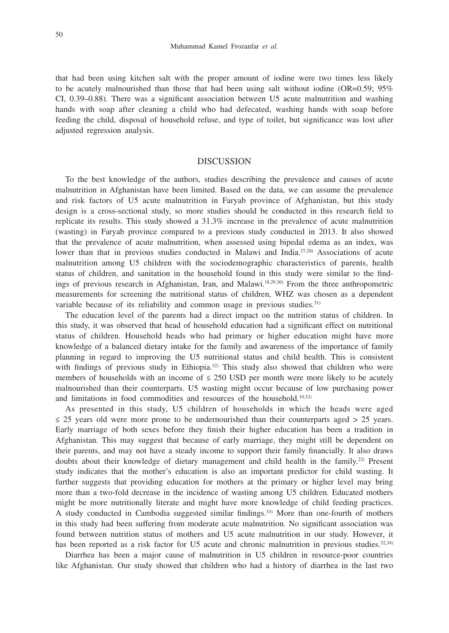that had been using kitchen salt with the proper amount of iodine were two times less likely to be acutely malnourished than those that had been using salt without iodine (OR=0.59;  $95\%$ ) CI, 0.39–0.88). There was a significant association between U5 acute malnutrition and washing hands with soap after cleaning a child who had defecated, washing hands with soap before feeding the child, disposal of household refuse, and type of toilet, but significance was lost after adjusted regression analysis.

#### DISCUSSION

To the best knowledge of the authors, studies describing the prevalence and causes of acute malnutrition in Afghanistan have been limited. Based on the data, we can assume the prevalence and risk factors of U5 acute malnutrition in Faryab province of Afghanistan, but this study design is a cross-sectional study, so more studies should be conducted in this research field to replicate its results. This study showed a 31.3% increase in the prevalence of acute malnutrition (wasting) in Faryab province compared to a previous study conducted in 2013. It also showed that the prevalence of acute malnutrition, when assessed using bipedal edema as an index, was lower than that in previous studies conducted in Malawi and India.<sup>27,28)</sup> Associations of acute malnutrition among U5 children with the sociodemographic characteristics of parents, health status of children, and sanitation in the household found in this study were similar to the findings of previous research in Afghanistan, Iran, and Malawi.18,29,30) From the three anthropometric measurements for screening the nutritional status of children, WHZ was chosen as a dependent variable because of its reliability and common usage in previous studies.<sup>31)</sup>

The education level of the parents had a direct impact on the nutrition status of children. In this study, it was observed that head of household education had a significant effect on nutritional status of children. Household heads who had primary or higher education might have more knowledge of a balanced dietary intake for the family and awareness of the importance of family planning in regard to improving the U5 nutritional status and child health. This is consistent with findings of previous study in Ethiopia.<sup>32)</sup> This study also showed that children who were members of households with an income of  $\leq 250$  USD per month were more likely to be acutely malnourished than their counterparts. U5 wasting might occur because of low purchasing power and limitations in food commodities and resources of the household.10,32)

As presented in this study, U5 children of households in which the heads were aged  $\leq$  25 years old were more prone to be undernourished than their counterparts aged  $>$  25 years. Early marriage of both sexes before they finish their higher education has been a tradition in Afghanistan. This may suggest that because of early marriage, they might still be dependent on their parents, and may not have a steady income to support their family financially. It also draws doubts about their knowledge of dietary management and child health in the family.<sup>22)</sup> Present study indicates that the mother's education is also an important predictor for child wasting. It further suggests that providing education for mothers at the primary or higher level may bring more than a two-fold decrease in the incidence of wasting among U5 children. Educated mothers might be more nutritionally literate and might have more knowledge of child feeding practices. A study conducted in Cambodia suggested similar findings.33) More than one-fourth of mothers in this study had been suffering from moderate acute malnutrition. No significant association was found between nutrition status of mothers and U5 acute malnutrition in our study. However, it has been reported as a risk factor for U5 acute and chronic malnutrition in previous studies.<sup>32,34)</sup>

Diarrhea has been a major cause of malnutrition in U5 children in resource-poor countries like Afghanistan. Our study showed that children who had a history of diarrhea in the last two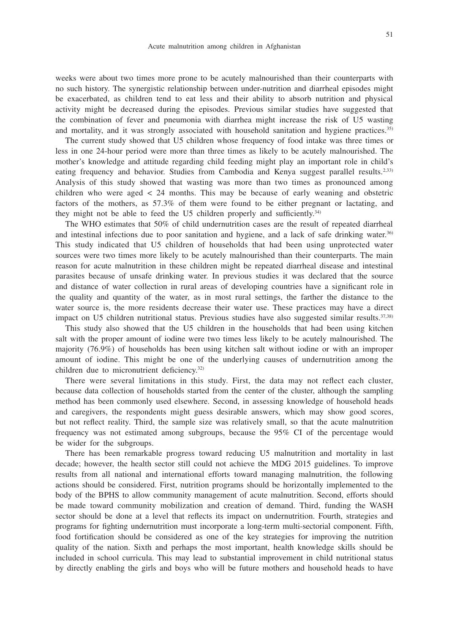weeks were about two times more prone to be acutely malnourished than their counterparts with no such history. The synergistic relationship between under-nutrition and diarrheal episodes might be exacerbated, as children tend to eat less and their ability to absorb nutrition and physical activity might be decreased during the episodes. Previous similar studies have suggested that the combination of fever and pneumonia with diarrhea might increase the risk of U5 wasting and mortality, and it was strongly associated with household sanitation and hygiene practices.<sup>35)</sup>

The current study showed that U5 children whose frequency of food intake was three times or less in one 24-hour period were more than three times as likely to be acutely malnourished. The mother's knowledge and attitude regarding child feeding might play an important role in child's eating frequency and behavior. Studies from Cambodia and Kenya suggest parallel results.<sup>2,33)</sup> Analysis of this study showed that wasting was more than two times as pronounced among children who were aged < 24 months. This may be because of early weaning and obstetric factors of the mothers, as 57.3% of them were found to be either pregnant or lactating, and they might not be able to feed the U5 children properly and sufficiently.34)

The WHO estimates that 50% of child undernutrition cases are the result of repeated diarrheal and intestinal infections due to poor sanitation and hygiene, and a lack of safe drinking water.36) This study indicated that U5 children of households that had been using unprotected water sources were two times more likely to be acutely malnourished than their counterparts. The main reason for acute malnutrition in these children might be repeated diarrheal disease and intestinal parasites because of unsafe drinking water. In previous studies it was declared that the source and distance of water collection in rural areas of developing countries have a significant role in the quality and quantity of the water, as in most rural settings, the farther the distance to the water source is, the more residents decrease their water use. These practices may have a direct impact on U5 children nutritional status. Previous studies have also suggested similar results.<sup>37,38)</sup>

This study also showed that the U5 children in the households that had been using kitchen salt with the proper amount of iodine were two times less likely to be acutely malnourished. The majority (76.9%) of households has been using kitchen salt without iodine or with an improper amount of iodine. This might be one of the underlying causes of undernutrition among the children due to micronutrient deficiency.32)

There were several limitations in this study. First, the data may not reflect each cluster, because data collection of households started from the center of the cluster, although the sampling method has been commonly used elsewhere. Second, in assessing knowledge of household heads and caregivers, the respondents might guess desirable answers, which may show good scores, but not reflect reality. Third, the sample size was relatively small, so that the acute malnutrition frequency was not estimated among subgroups, because the 95% CI of the percentage would be wider for the subgroups.

There has been remarkable progress toward reducing U5 malnutrition and mortality in last decade; however, the health sector still could not achieve the MDG 2015 guidelines. To improve results from all national and international efforts toward managing malnutrition, the following actions should be considered. First, nutrition programs should be horizontally implemented to the body of the BPHS to allow community management of acute malnutrition. Second, efforts should be made toward community mobilization and creation of demand. Third, funding the WASH sector should be done at a level that reflects its impact on undernutrition. Fourth, strategies and programs for fighting undernutrition must incorporate a long-term multi-sectorial component. Fifth, food fortification should be considered as one of the key strategies for improving the nutrition quality of the nation. Sixth and perhaps the most important, health knowledge skills should be included in school curricula. This may lead to substantial improvement in child nutritional status by directly enabling the girls and boys who will be future mothers and household heads to have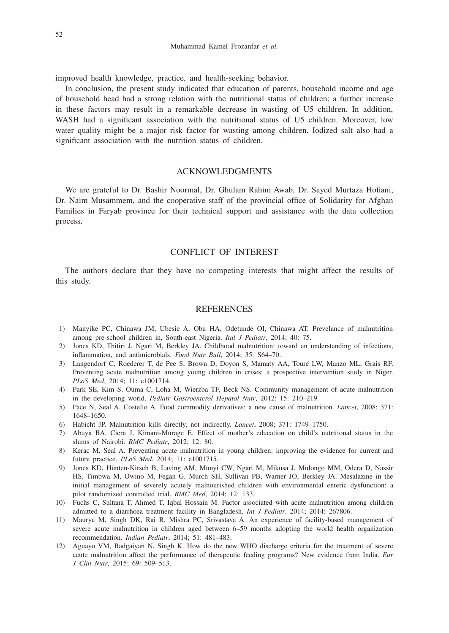improved health knowledge, practice, and health-seeking behavior.

In conclusion, the present study indicated that education of parents, household income and age of household head had a strong relation with the nutritional status of children; a further increase in these factors may result in a remarkable decrease in wasting of U5 children. In addition, WASH had a significant association with the nutritional status of U5 children. Moreover, low water quality might be a major risk factor for wasting among children. Iodized salt also had a significant association with the nutrition status of children.

## ACKNOWLEDGMENTS

We are grateful to Dr. Bashir Noormal, Dr. Ghulam Rahim Awab, Dr. Sayed Murtaza Hofiani, Dr. Naim Musammem, and the cooperative staff of the provincial office of Solidarity for Afghan Families in Faryab province for their technical support and assistance with the data collection process.

## CONFLICT OF INTEREST

The authors declare that they have no competing interests that might affect the results of this study.

### **REFERENCES**

- 1) Manyike PC, Chinawa JM, Ubesie A, Obu HA, Odetunde OI, Chinawa AT. Prevelance of malnutrition among pre-school children in, South-east Nigeria. *Ital J Pediatr*, 2014; 40: 75.
- 2) Jones KD, Thitiri J, Ngari M, Berkley JA. Childhood malnutrition: toward an understanding of infections, inflammation, and antimicrobials. *Food Nutr Bull*, 2014; 35: S64–70.
- 3) Langendorf C, Roederer T, de Pee S, Brown D, Doyon S, Mamaty AA, Touré LW, Manzo ML, Grais RF. Preventing acute malnutrition among young children in crises: a prospective intervention study in Niger. *PLoS Med*, 2014; 11: e1001714.
- 4) Park SE, Kim S, Ouma C, Loha M, Wierzba TF, Beck NS. Community management of acute malnutrition in the developing world. *Pediatr Gastroenterol Hepatol Nutr*, 2012; 15: 210–219.
- 5) Pace N, Seal A, Costello A. Food commodity derivatives: a new cause of malnutrition. *Lancet*, 2008; 371: 1648–1650.
- 6) Habicht JP. Malnutrition kills directly, not indirectly. *Lancet*, 2008; 371: 1749–1750.
- 7) Abuya BA, Ciera J, Kimani-Murage E. Effect of mother's education on child's nutritional status in the slums of Nairobi. *BMC Pediatr*, 2012; 12: 80.
- 8) Kerac M, Seal A. Preventing acute malnutrition in young children: improving the evidence for current and future practice. *PLoS Med*, 2014; 11: e1001715.
- 9) Jones KD, Hünten-Kirsch B, Laving AM, Munyi CW, Ngari M, Mikusa J, Mulongo MM, Odera D, Nassir HS, Timbwa M, Owino M, Fegan G, Murch SH, Sullivan PB, Warner JO, Berkley JA. Mesalazine in the initial management of severely acutely malnourished children with environmental enteric dysfunction: a pilot randomized controlled trial. *BMC Med*, 2014; 12: 133.
- 10) Fuchs C, Sultana T, Ahmed T, Iqbal Hossain M. Factor associated with acute malnutrition among children admitted to a diarrhoea treatment facility in Bangladesh. *Int J Pediatr*, 2014; 2014: 267806.
- 11) Maurya M, Singh DK, Rai R, Mishra PC, Srivastava A. An experience of facility-based management of severe acute malnutrition in children aged between 6–59 months adopting the world health organization recommendation. *Indian Pediatr*, 2014; 51: 481–483.
- 12) Aguayo VM, Badgaiyan N, Singh K. How do the new WHO discharge criteria for the treatment of severe acute malnutrition affect the performance of therapeutic feeding programs? New evidence from India. *Eur J Clin Nutr*, 2015; 69: 509–513.